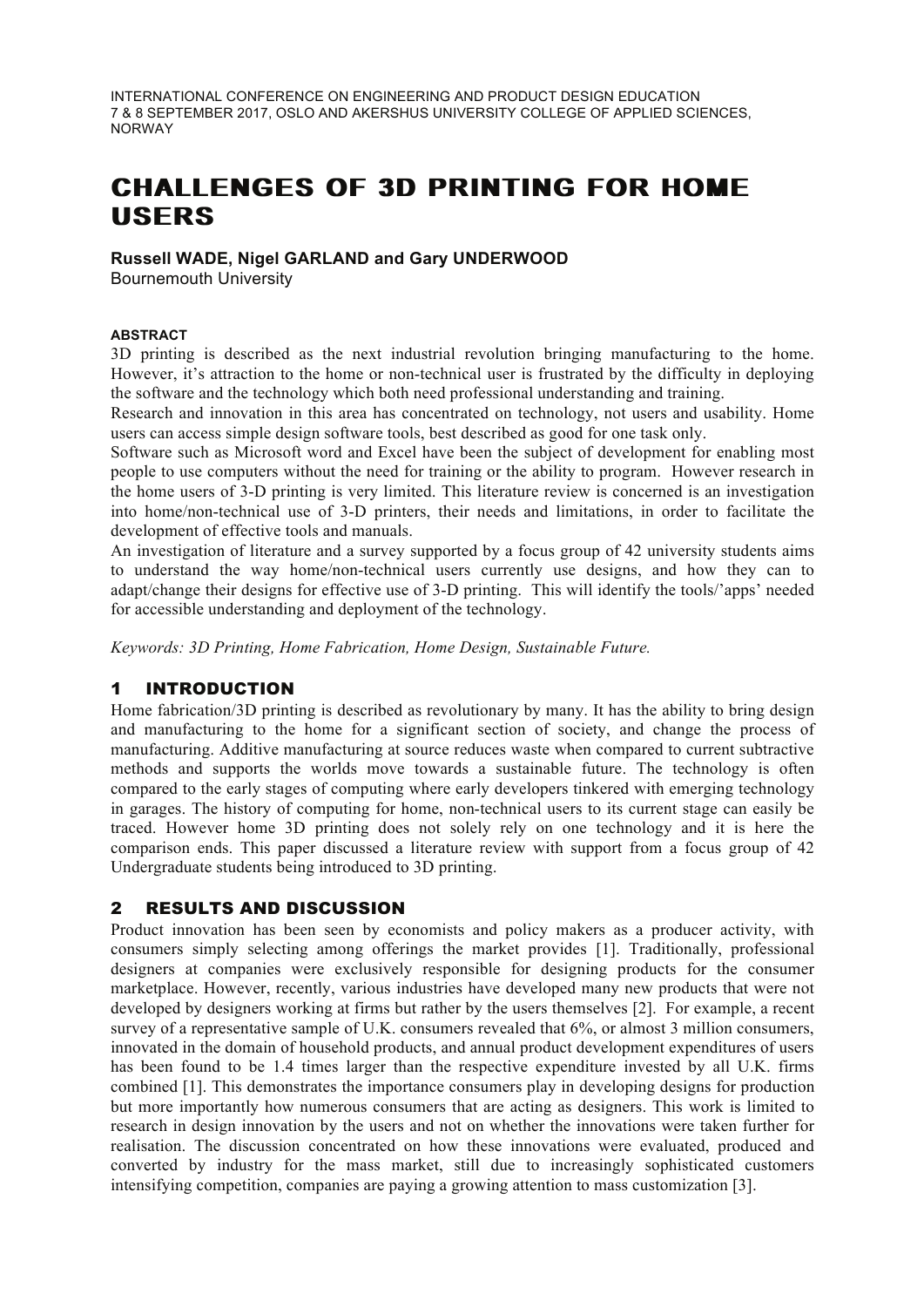INTERNATIONAL CONFERENCE ON ENGINEERING AND PRODUCT DESIGN EDUCATION 7 & 8 SEPTEMBER 2017, OSLO AND AKERSHUS UNIVERSITY COLLEGE OF APPLIED SCIENCES, NORWAY

# **CHALLENGES OF 3D PRINTING FOR HOME USERS**

## **Russell WADE, Nigel GARLAND and Gary UNDERWOOD**

Bournemouth University

#### **ABSTRACT**

3D printing is described as the next industrial revolution bringing manufacturing to the home. However, it's attraction to the home or non-technical user is frustrated by the difficulty in deploying the software and the technology which both need professional understanding and training.

Research and innovation in this area has concentrated on technology, not users and usability. Home users can access simple design software tools, best described as good for one task only.

Software such as Microsoft word and Excel have been the subject of development for enabling most people to use computers without the need for training or the ability to program. However research in the home users of 3-D printing is very limited. This literature review is concerned is an investigation into home/non-technical use of 3-D printers, their needs and limitations, in order to facilitate the development of effective tools and manuals.

An investigation of literature and a survey supported by a focus group of 42 university students aims to understand the way home/non-technical users currently use designs, and how they can to adapt/change their designs for effective use of 3-D printing. This will identify the tools/'apps' needed for accessible understanding and deployment of the technology.

*Keywords: 3D Printing, Home Fabrication, Home Design, Sustainable Future.*

#### 1 INTRODUCTION

Home fabrication/3D printing is described as revolutionary by many. It has the ability to bring design and manufacturing to the home for a significant section of society, and change the process of manufacturing. Additive manufacturing at source reduces waste when compared to current subtractive methods and supports the worlds move towards a sustainable future. The technology is often compared to the early stages of computing where early developers tinkered with emerging technology in garages. The history of computing for home, non-technical users to its current stage can easily be traced. However home 3D printing does not solely rely on one technology and it is here the comparison ends. This paper discussed a literature review with support from a focus group of 42 Undergraduate students being introduced to 3D printing.

#### 2 RESULTS AND DISCUSSION

Product innovation has been seen by economists and policy makers as a producer activity, with consumers simply selecting among offerings the market provides [1]. Traditionally, professional designers at companies were exclusively responsible for designing products for the consumer marketplace. However, recently, various industries have developed many new products that were not developed by designers working at firms but rather by the users themselves [2]. For example, a recent survey of a representative sample of U.K. consumers revealed that 6%, or almost 3 million consumers, innovated in the domain of household products, and annual product development expenditures of users has been found to be 1.4 times larger than the respective expenditure invested by all U.K. firms combined [1]. This demonstrates the importance consumers play in developing designs for production but more importantly how numerous consumers that are acting as designers. This work is limited to research in design innovation by the users and not on whether the innovations were taken further for realisation. The discussion concentrated on how these innovations were evaluated, produced and converted by industry for the mass market, still due to increasingly sophisticated customers intensifying competition, companies are paying a growing attention to mass customization [3].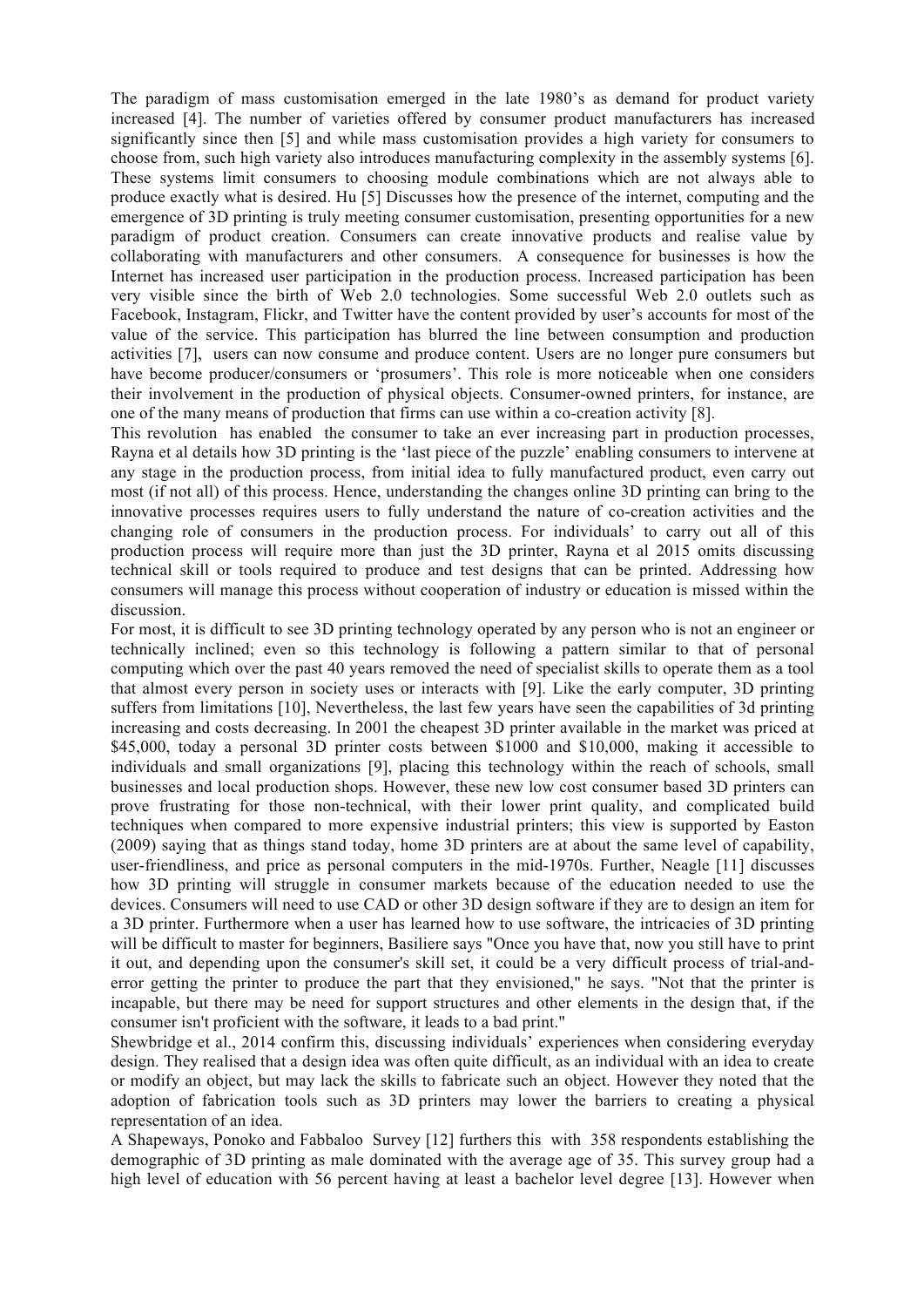The paradigm of mass customisation emerged in the late 1980's as demand for product variety increased [4]. The number of varieties offered by consumer product manufacturers has increased significantly since then [5] and while mass customisation provides a high variety for consumers to choose from, such high variety also introduces manufacturing complexity in the assembly systems [6]. These systems limit consumers to choosing module combinations which are not always able to produce exactly what is desired. Hu [5] Discusses how the presence of the internet, computing and the emergence of 3D printing is truly meeting consumer customisation, presenting opportunities for a new paradigm of product creation. Consumers can create innovative products and realise value by collaborating with manufacturers and other consumers. A consequence for businesses is how the Internet has increased user participation in the production process. Increased participation has been very visible since the birth of Web 2.0 technologies. Some successful Web 2.0 outlets such as Facebook, Instagram, Flickr, and Twitter have the content provided by user's accounts for most of the value of the service. This participation has blurred the line between consumption and production activities [7], users can now consume and produce content. Users are no longer pure consumers but have become producer/consumers or 'prosumers'. This role is more noticeable when one considers their involvement in the production of physical objects. Consumer-owned printers, for instance, are one of the many means of production that firms can use within a co-creation activity [8].

This revolution has enabled the consumer to take an ever increasing part in production processes, Rayna et al details how 3D printing is the 'last piece of the puzzle' enabling consumers to intervene at any stage in the production process, from initial idea to fully manufactured product, even carry out most (if not all) of this process. Hence, understanding the changes online 3D printing can bring to the innovative processes requires users to fully understand the nature of co-creation activities and the changing role of consumers in the production process. For individuals' to carry out all of this production process will require more than just the 3D printer, Rayna et al 2015 omits discussing technical skill or tools required to produce and test designs that can be printed. Addressing how consumers will manage this process without cooperation of industry or education is missed within the discussion.

For most, it is difficult to see 3D printing technology operated by any person who is not an engineer or technically inclined; even so this technology is following a pattern similar to that of personal computing which over the past 40 years removed the need of specialist skills to operate them as a tool that almost every person in society uses or interacts with [9]. Like the early computer, 3D printing suffers from limitations [10], Nevertheless, the last few years have seen the capabilities of 3d printing increasing and costs decreasing. In 2001 the cheapest 3D printer available in the market was priced at \$45,000, today a personal 3D printer costs between \$1000 and \$10,000, making it accessible to individuals and small organizations [9], placing this technology within the reach of schools, small businesses and local production shops. However, these new low cost consumer based 3D printers can prove frustrating for those non-technical, with their lower print quality, and complicated build techniques when compared to more expensive industrial printers; this view is supported by Easton (2009) saying that as things stand today, home 3D printers are at about the same level of capability, user-friendliness, and price as personal computers in the mid-1970s. Further, Neagle [11] discusses how 3D printing will struggle in consumer markets because of the education needed to use the devices. Consumers will need to use CAD or other 3D design software if they are to design an item for a 3D printer. Furthermore when a user has learned how to use software, the intricacies of 3D printing will be difficult to master for beginners, Basiliere says "Once you have that, now you still have to print it out, and depending upon the consumer's skill set, it could be a very difficult process of trial-anderror getting the printer to produce the part that they envisioned," he says. "Not that the printer is incapable, but there may be need for support structures and other elements in the design that, if the consumer isn't proficient with the software, it leads to a bad print."

Shewbridge et al., 2014 confirm this, discussing individuals' experiences when considering everyday design. They realised that a design idea was often quite difficult, as an individual with an idea to create or modify an object, but may lack the skills to fabricate such an object. However they noted that the adoption of fabrication tools such as 3D printers may lower the barriers to creating a physical representation of an idea.

A Shapeways, Ponoko and Fabbaloo Survey [12] furthers this with 358 respondents establishing the demographic of 3D printing as male dominated with the average age of 35. This survey group had a high level of education with 56 percent having at least a bachelor level degree [13]. However when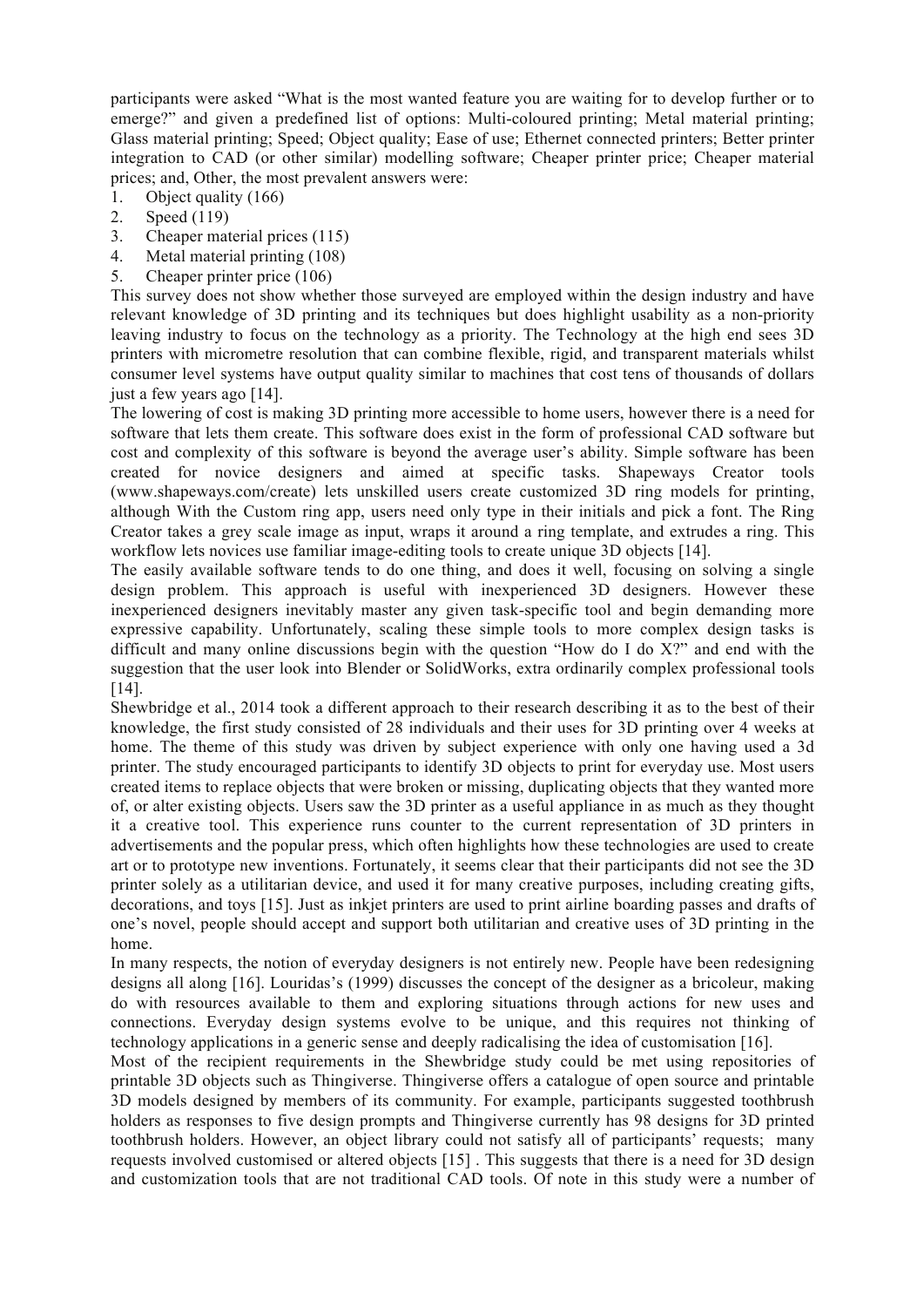participants were asked "What is the most wanted feature you are waiting for to develop further or to emerge?" and given a predefined list of options: Multi-coloured printing: Metal material printing; Glass material printing; Speed; Object quality; Ease of use; Ethernet connected printers; Better printer integration to CAD (or other similar) modelling software; Cheaper printer price; Cheaper material prices; and, Other, the most prevalent answers were:

- 1. Object quality (166)
- 2. Speed (119)
- 3. Cheaper material prices (115)
- 4. Metal material printing (108)
- 5. Cheaper printer price (106)

This survey does not show whether those surveyed are employed within the design industry and have relevant knowledge of 3D printing and its techniques but does highlight usability as a non-priority leaving industry to focus on the technology as a priority. The Technology at the high end sees 3D printers with micrometre resolution that can combine flexible, rigid, and transparent materials whilst consumer level systems have output quality similar to machines that cost tens of thousands of dollars just a few years ago [14].

The lowering of cost is making 3D printing more accessible to home users, however there is a need for software that lets them create. This software does exist in the form of professional CAD software but cost and complexity of this software is beyond the average user's ability. Simple software has been created for novice designers and aimed at specific tasks. Shapeways Creator tools (www.shapeways.com/create) lets unskilled users create customized 3D ring models for printing, although With the Custom ring app, users need only type in their initials and pick a font. The Ring Creator takes a grey scale image as input, wraps it around a ring template, and extrudes a ring. This workflow lets novices use familiar image-editing tools to create unique 3D objects [14].

The easily available software tends to do one thing, and does it well, focusing on solving a single design problem. This approach is useful with inexperienced 3D designers. However these inexperienced designers inevitably master any given task-specific tool and begin demanding more expressive capability. Unfortunately, scaling these simple tools to more complex design tasks is difficult and many online discussions begin with the question "How do I do X?" and end with the suggestion that the user look into Blender or SolidWorks, extra ordinarily complex professional tools [14].

Shewbridge et al., 2014 took a different approach to their research describing it as to the best of their knowledge, the first study consisted of 28 individuals and their uses for 3D printing over 4 weeks at home. The theme of this study was driven by subject experience with only one having used a 3d printer. The study encouraged participants to identify 3D objects to print for everyday use. Most users created items to replace objects that were broken or missing, duplicating objects that they wanted more of, or alter existing objects. Users saw the 3D printer as a useful appliance in as much as they thought it a creative tool. This experience runs counter to the current representation of 3D printers in advertisements and the popular press, which often highlights how these technologies are used to create art or to prototype new inventions. Fortunately, it seems clear that their participants did not see the 3D printer solely as a utilitarian device, and used it for many creative purposes, including creating gifts, decorations, and toys [15]. Just as inkjet printers are used to print airline boarding passes and drafts of one's novel, people should accept and support both utilitarian and creative uses of 3D printing in the home.

In many respects, the notion of everyday designers is not entirely new. People have been redesigning designs all along [16]. Louridas's (1999) discusses the concept of the designer as a bricoleur, making do with resources available to them and exploring situations through actions for new uses and connections. Everyday design systems evolve to be unique, and this requires not thinking of technology applications in a generic sense and deeply radicalising the idea of customisation [16].

Most of the recipient requirements in the Shewbridge study could be met using repositories of printable 3D objects such as Thingiverse. Thingiverse offers a catalogue of open source and printable 3D models designed by members of its community. For example, participants suggested toothbrush holders as responses to five design prompts and Thingiverse currently has 98 designs for 3D printed toothbrush holders. However, an object library could not satisfy all of participants' requests; many requests involved customised or altered objects [15] . This suggests that there is a need for 3D design and customization tools that are not traditional CAD tools. Of note in this study were a number of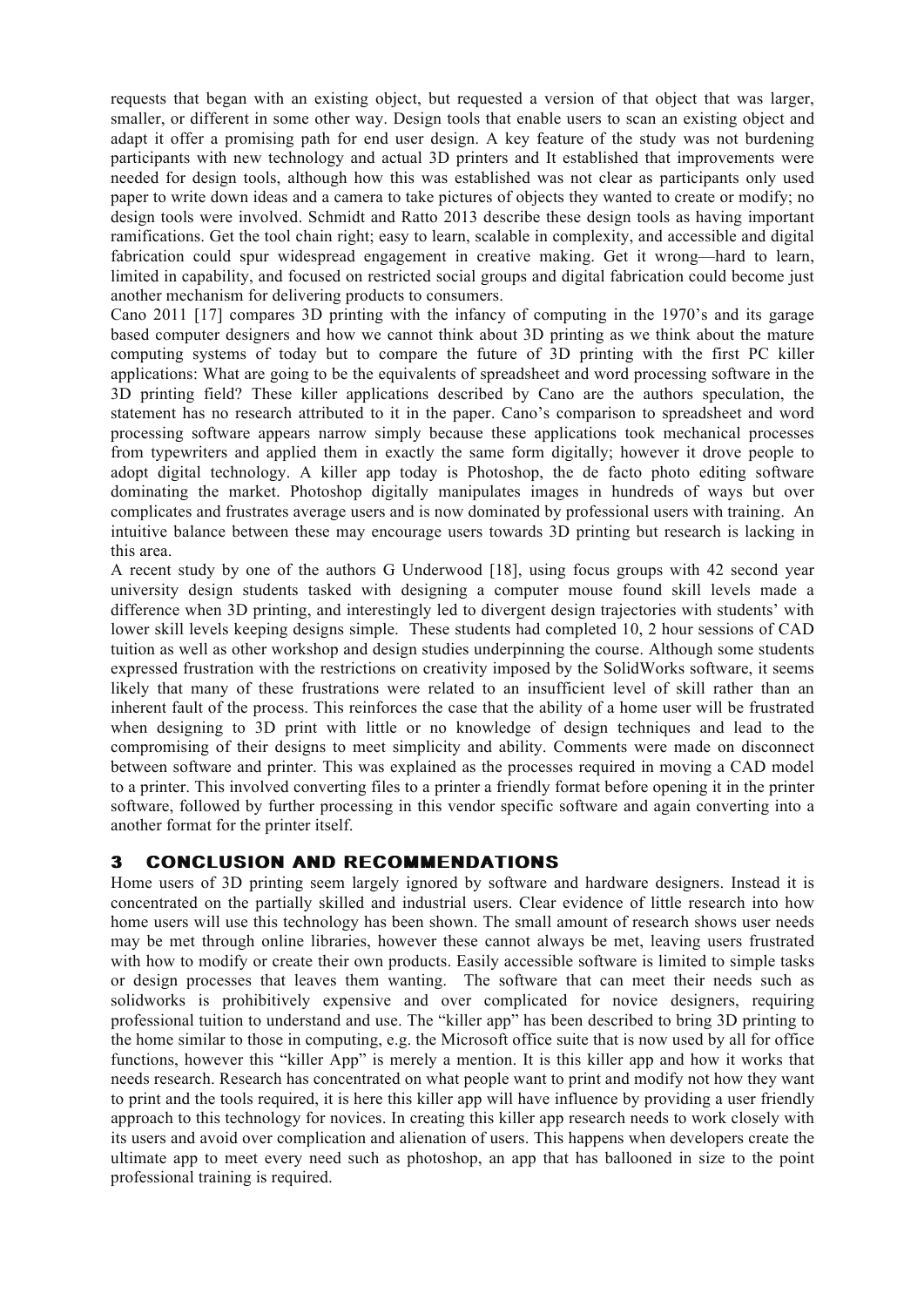requests that began with an existing object, but requested a version of that object that was larger, smaller, or different in some other way. Design tools that enable users to scan an existing object and adapt it offer a promising path for end user design. A key feature of the study was not burdening participants with new technology and actual 3D printers and It established that improvements were needed for design tools, although how this was established was not clear as participants only used paper to write down ideas and a camera to take pictures of objects they wanted to create or modify; no design tools were involved. Schmidt and Ratto 2013 describe these design tools as having important ramifications. Get the tool chain right; easy to learn, scalable in complexity, and accessible and digital fabrication could spur widespread engagement in creative making. Get it wrong—hard to learn, limited in capability, and focused on restricted social groups and digital fabrication could become just another mechanism for delivering products to consumers.

Cano 2011 [17] compares 3D printing with the infancy of computing in the 1970's and its garage based computer designers and how we cannot think about 3D printing as we think about the mature computing systems of today but to compare the future of 3D printing with the first PC killer applications: What are going to be the equivalents of spreadsheet and word processing software in the 3D printing field? These killer applications described by Cano are the authors speculation, the statement has no research attributed to it in the paper. Cano's comparison to spreadsheet and word processing software appears narrow simply because these applications took mechanical processes from typewriters and applied them in exactly the same form digitally; however it drove people to adopt digital technology. A killer app today is Photoshop, the de facto photo editing software dominating the market. Photoshop digitally manipulates images in hundreds of ways but over complicates and frustrates average users and is now dominated by professional users with training. An intuitive balance between these may encourage users towards 3D printing but research is lacking in this area.

A recent study by one of the authors G Underwood [18], using focus groups with 42 second year university design students tasked with designing a computer mouse found skill levels made a difference when 3D printing, and interestingly led to divergent design trajectories with students' with lower skill levels keeping designs simple. These students had completed 10, 2 hour sessions of CAD tuition as well as other workshop and design studies underpinning the course. Although some students expressed frustration with the restrictions on creativity imposed by the SolidWorks software, it seems likely that many of these frustrations were related to an insufficient level of skill rather than an inherent fault of the process. This reinforces the case that the ability of a home user will be frustrated when designing to 3D print with little or no knowledge of design techniques and lead to the compromising of their designs to meet simplicity and ability. Comments were made on disconnect between software and printer. This was explained as the processes required in moving a CAD model to a printer. This involved converting files to a printer a friendly format before opening it in the printer software, followed by further processing in this vendor specific software and again converting into a another format for the printer itself.

### **3 CONCLUSION AND RECOMMENDATIONS**

Home users of 3D printing seem largely ignored by software and hardware designers. Instead it is concentrated on the partially skilled and industrial users. Clear evidence of little research into how home users will use this technology has been shown. The small amount of research shows user needs may be met through online libraries, however these cannot always be met, leaving users frustrated with how to modify or create their own products. Easily accessible software is limited to simple tasks or design processes that leaves them wanting. The software that can meet their needs such as solidworks is prohibitively expensive and over complicated for novice designers, requiring professional tuition to understand and use. The "killer app" has been described to bring 3D printing to the home similar to those in computing, e.g. the Microsoft office suite that is now used by all for office functions, however this "killer App" is merely a mention. It is this killer app and how it works that needs research. Research has concentrated on what people want to print and modify not how they want to print and the tools required, it is here this killer app will have influence by providing a user friendly approach to this technology for novices. In creating this killer app research needs to work closely with its users and avoid over complication and alienation of users. This happens when developers create the ultimate app to meet every need such as photoshop, an app that has ballooned in size to the point professional training is required.